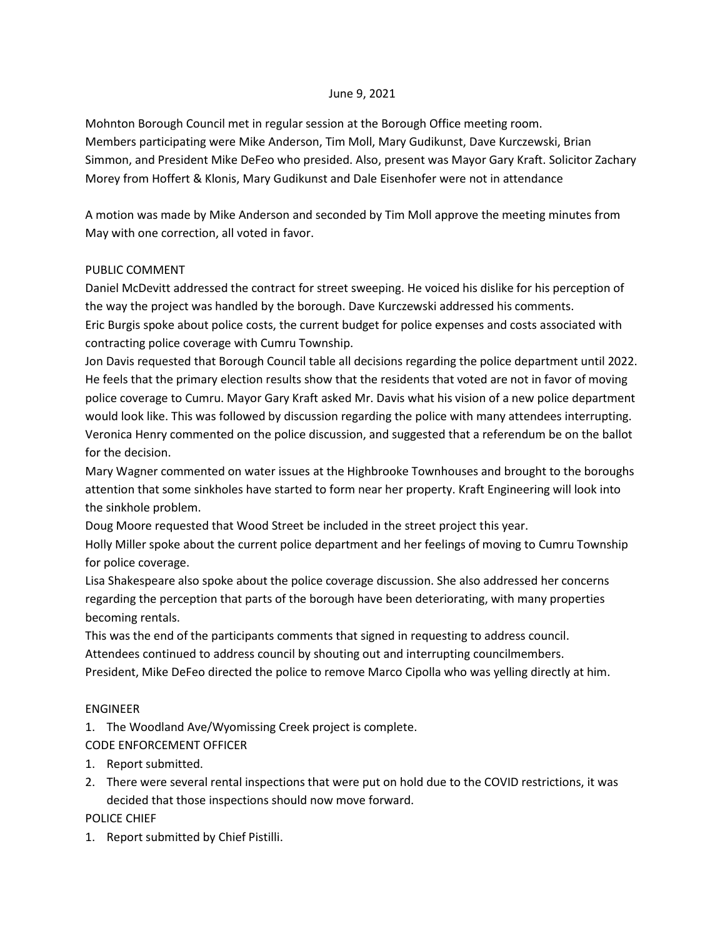#### June 9, 2021

Mohnton Borough Council met in regular session at the Borough Office meeting room. Members participating were Mike Anderson, Tim Moll, Mary Gudikunst, Dave Kurczewski, Brian Simmon, and President Mike DeFeo who presided. Also, present was Mayor Gary Kraft. Solicitor Zachary Morey from Hoffert & Klonis, Mary Gudikunst and Dale Eisenhofer were not in attendance

A motion was made by Mike Anderson and seconded by Tim Moll approve the meeting minutes from May with one correction, all voted in favor.

### PUBLIC COMMENT

Daniel McDevitt addressed the contract for street sweeping. He voiced his dislike for his perception of the way the project was handled by the borough. Dave Kurczewski addressed his comments. Eric Burgis spoke about police costs, the current budget for police expenses and costs associated with contracting police coverage with Cumru Township.

Jon Davis requested that Borough Council table all decisions regarding the police department until 2022. He feels that the primary election results show that the residents that voted are not in favor of moving police coverage to Cumru. Mayor Gary Kraft asked Mr. Davis what his vision of a new police department would look like. This was followed by discussion regarding the police with many attendees interrupting. Veronica Henry commented on the police discussion, and suggested that a referendum be on the ballot for the decision.

Mary Wagner commented on water issues at the Highbrooke Townhouses and brought to the boroughs attention that some sinkholes have started to form near her property. Kraft Engineering will look into the sinkhole problem.

Doug Moore requested that Wood Street be included in the street project this year.

Holly Miller spoke about the current police department and her feelings of moving to Cumru Township for police coverage.

Lisa Shakespeare also spoke about the police coverage discussion. She also addressed her concerns regarding the perception that parts of the borough have been deteriorating, with many properties becoming rentals.

This was the end of the participants comments that signed in requesting to address council.

Attendees continued to address council by shouting out and interrupting councilmembers.

President, Mike DeFeo directed the police to remove Marco Cipolla who was yelling directly at him.

### ENGINEER

1. The Woodland Ave/Wyomissing Creek project is complete.

CODE ENFORCEMENT OFFICER

- 1. Report submitted.
- 2. There were several rental inspections that were put on hold due to the COVID restrictions, it was decided that those inspections should now move forward.

POLICE CHIEF

1. Report submitted by Chief Pistilli.